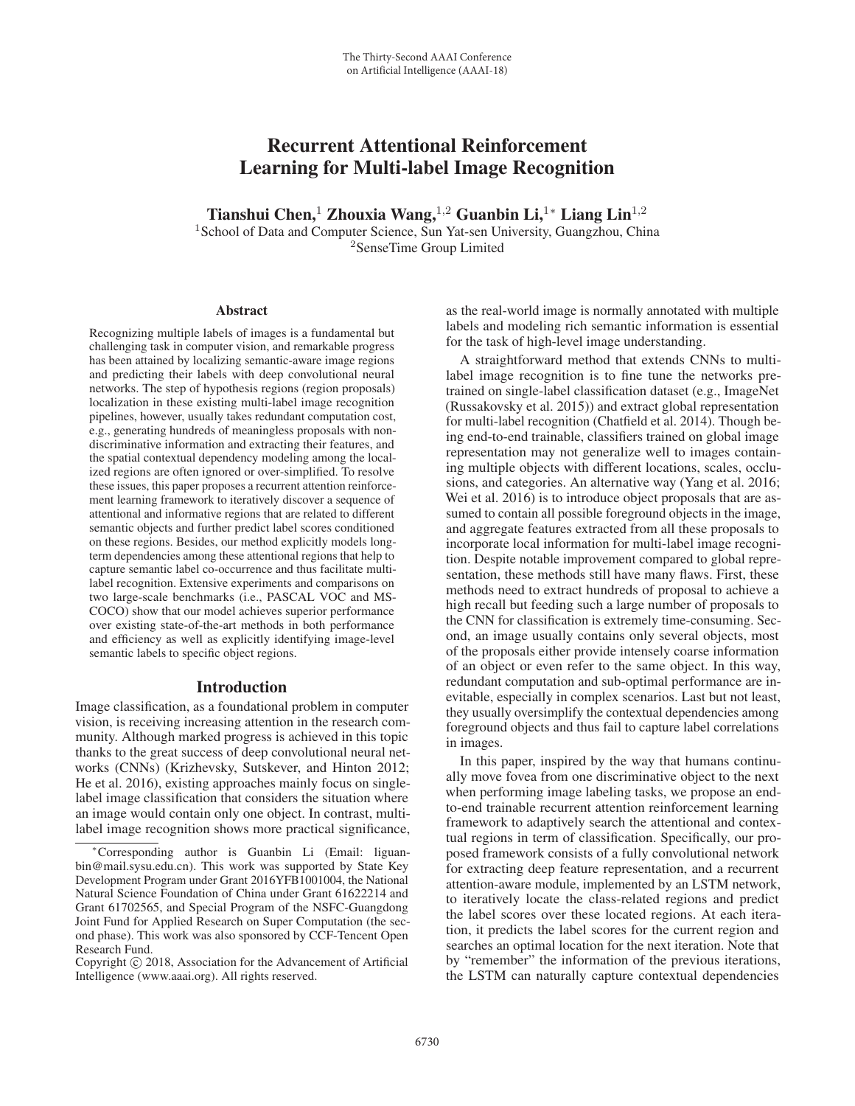# Recurrent Attentional Reinforcement Learning for Multi-label Image Recognition

Tianshui Chen,<sup>1</sup> Zhouxia Wang,<sup>1,2</sup> Guanbin Li,<sup>1</sup>\* Liang Lin<sup>1,2</sup>

<sup>1</sup> School of Data and Computer Science, Sun Yat-sen University, Guangzhou, China <sup>2</sup>SenseTime Group Limited

#### **Abstract**

Recognizing multiple labels of images is a fundamental but challenging task in computer vision, and remarkable progress has been attained by localizing semantic-aware image regions and predicting their labels with deep convolutional neural networks. The step of hypothesis regions (region proposals) localization in these existing multi-label image recognition pipelines, however, usually takes redundant computation cost, e.g., generating hundreds of meaningless proposals with nondiscriminative information and extracting their features, and the spatial contextual dependency modeling among the localized regions are often ignored or over-simplified. To resolve these issues, this paper proposes a recurrent attention reinforcement learning framework to iteratively discover a sequence of attentional and informative regions that are related to different semantic objects and further predict label scores conditioned on these regions. Besides, our method explicitly models longterm dependencies among these attentional regions that help to capture semantic label co-occurrence and thus facilitate multilabel recognition. Extensive experiments and comparisons on two large-scale benchmarks (i.e., PASCAL VOC and MS-COCO) show that our model achieves superior performance over existing state-of-the-art methods in both performance and efficiency as well as explicitly identifying image-level semantic labels to specific object regions.

## Introduction

Image classification, as a foundational problem in computer vision, is receiving increasing attention in the research community. Although marked progress is achieved in this topic thanks to the great success of deep convolutional neural networks (CNNs) (Krizhevsky, Sutskever, and Hinton 2012; He et al. 2016), existing approaches mainly focus on singlelabel image classification that considers the situation where an image would contain only one object. In contrast, multilabel image recognition shows more practical significance,

as the real-world image is normally annotated with multiple labels and modeling rich semantic information is essential for the task of high-level image understanding.

A straightforward method that extends CNNs to multilabel image recognition is to fine tune the networks pretrained on single-label classification dataset (e.g., ImageNet (Russakovsky et al. 2015)) and extract global representation for multi-label recognition (Chatfield et al. 2014). Though being end-to-end trainable, classifiers trained on global image representation may not generalize well to images containing multiple objects with different locations, scales, occlusions, and categories. An alternative way (Yang et al. 2016; Wei et al. 2016) is to introduce object proposals that are assumed to contain all possible foreground objects in the image, and aggregate features extracted from all these proposals to incorporate local information for multi-label image recognition. Despite notable improvement compared to global representation, these methods still have many flaws. First, these methods need to extract hundreds of proposal to achieve a high recall but feeding such a large number of proposals to the CNN for classification is extremely time-consuming. Second, an image usually contains only several objects, most of the proposals either provide intensely coarse information of an object or even refer to the same object. In this way, redundant computation and sub-optimal performance are inevitable, especially in complex scenarios. Last but not least, they usually oversimplify the contextual dependencies among foreground objects and thus fail to capture label correlations in images.

In this paper, inspired by the way that humans continually move fovea from one discriminative object to the next when performing image labeling tasks, we propose an endto-end trainable recurrent attention reinforcement learning framework to adaptively search the attentional and contextual regions in term of classification. Specifically, our proposed framework consists of a fully convolutional network for extracting deep feature representation, and a recurrent attention-aware module, implemented by an LSTM network, to iteratively locate the class-related regions and predict the label scores over these located regions. At each iteration, it predicts the label scores for the current region and searches an optimal location for the next iteration. Note that by "remember" the information of the previous iterations, the LSTM can naturally capture contextual dependencies

<sup>∗</sup>Corresponding author is Guanbin Li (Email: liguanbin@mail.sysu.edu.cn). This work was supported by State Key Development Program under Grant 2016YFB1001004, the National Natural Science Foundation of China under Grant 61622214 and Grant 61702565, and Special Program of the NSFC-Guangdong Joint Fund for Applied Research on Super Computation (the second phase). This work was also sponsored by CCF-Tencent Open Research Fund.

Copyright  $\odot$  2018, Association for the Advancement of Artificial Intelligence (www.aaai.org). All rights reserved.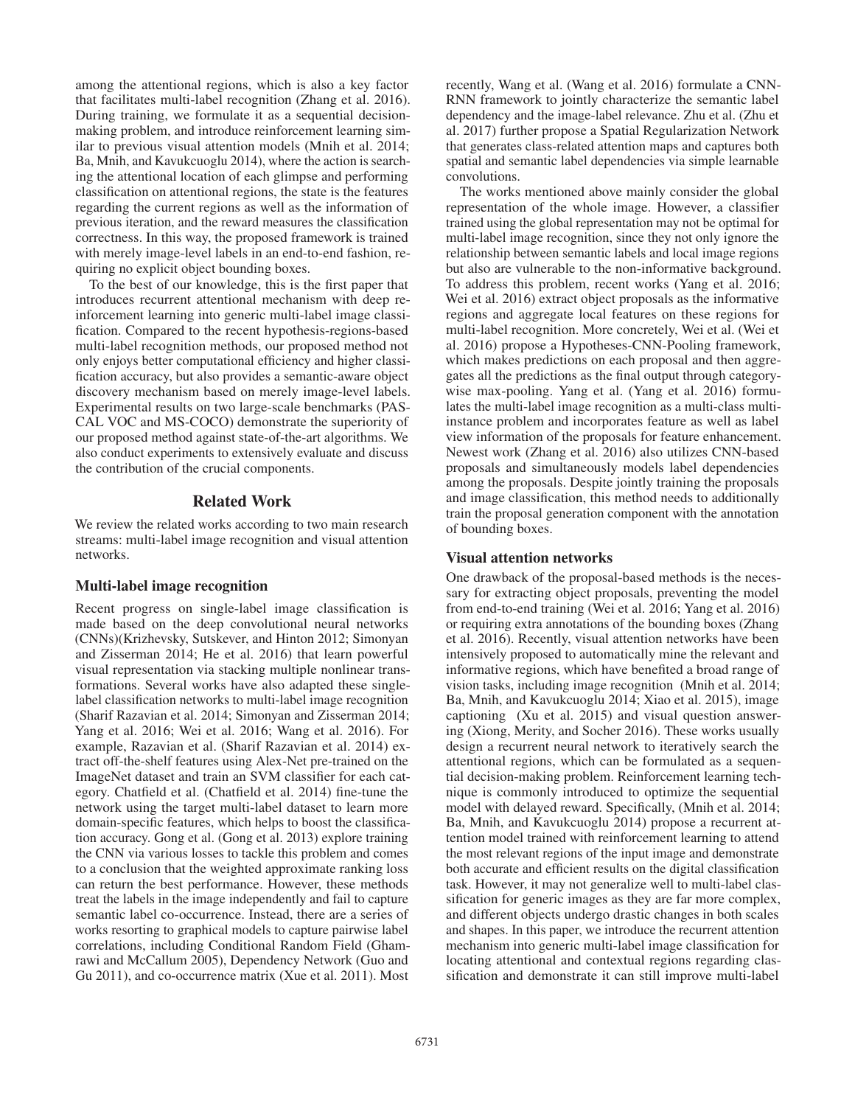among the attentional regions, which is also a key factor that facilitates multi-label recognition (Zhang et al. 2016). During training, we formulate it as a sequential decisionmaking problem, and introduce reinforcement learning similar to previous visual attention models (Mnih et al. 2014; Ba, Mnih, and Kavukcuoglu 2014), where the action is searching the attentional location of each glimpse and performing classification on attentional regions, the state is the features regarding the current regions as well as the information of previous iteration, and the reward measures the classification correctness. In this way, the proposed framework is trained with merely image-level labels in an end-to-end fashion, requiring no explicit object bounding boxes.

To the best of our knowledge, this is the first paper that introduces recurrent attentional mechanism with deep reinforcement learning into generic multi-label image classification. Compared to the recent hypothesis-regions-based multi-label recognition methods, our proposed method not only enjoys better computational efficiency and higher classification accuracy, but also provides a semantic-aware object discovery mechanism based on merely image-level labels. Experimental results on two large-scale benchmarks (PAS-CAL VOC and MS-COCO) demonstrate the superiority of our proposed method against state-of-the-art algorithms. We also conduct experiments to extensively evaluate and discuss the contribution of the crucial components.

## Related Work

We review the related works according to two main research streams: multi-label image recognition and visual attention networks.

## Multi-label image recognition

Recent progress on single-label image classification is made based on the deep convolutional neural networks (CNNs)(Krizhevsky, Sutskever, and Hinton 2012; Simonyan and Zisserman 2014; He et al. 2016) that learn powerful visual representation via stacking multiple nonlinear transformations. Several works have also adapted these singlelabel classification networks to multi-label image recognition (Sharif Razavian et al. 2014; Simonyan and Zisserman 2014; Yang et al. 2016; Wei et al. 2016; Wang et al. 2016). For example, Razavian et al. (Sharif Razavian et al. 2014) extract off-the-shelf features using Alex-Net pre-trained on the ImageNet dataset and train an SVM classifier for each category. Chatfield et al. (Chatfield et al. 2014) fine-tune the network using the target multi-label dataset to learn more domain-specific features, which helps to boost the classification accuracy. Gong et al. (Gong et al. 2013) explore training the CNN via various losses to tackle this problem and comes to a conclusion that the weighted approximate ranking loss can return the best performance. However, these methods treat the labels in the image independently and fail to capture semantic label co-occurrence. Instead, there are a series of works resorting to graphical models to capture pairwise label correlations, including Conditional Random Field (Ghamrawi and McCallum 2005), Dependency Network (Guo and Gu 2011), and co-occurrence matrix (Xue et al. 2011). Most

recently, Wang et al. (Wang et al. 2016) formulate a CNN-RNN framework to jointly characterize the semantic label dependency and the image-label relevance. Zhu et al. (Zhu et al. 2017) further propose a Spatial Regularization Network that generates class-related attention maps and captures both spatial and semantic label dependencies via simple learnable convolutions.

The works mentioned above mainly consider the global representation of the whole image. However, a classifier trained using the global representation may not be optimal for multi-label image recognition, since they not only ignore the relationship between semantic labels and local image regions but also are vulnerable to the non-informative background. To address this problem, recent works (Yang et al. 2016; Wei et al. 2016) extract object proposals as the informative regions and aggregate local features on these regions for multi-label recognition. More concretely, Wei et al. (Wei et al. 2016) propose a Hypotheses-CNN-Pooling framework, which makes predictions on each proposal and then aggregates all the predictions as the final output through categorywise max-pooling. Yang et al. (Yang et al. 2016) formulates the multi-label image recognition as a multi-class multiinstance problem and incorporates feature as well as label view information of the proposals for feature enhancement. Newest work (Zhang et al. 2016) also utilizes CNN-based proposals and simultaneously models label dependencies among the proposals. Despite jointly training the proposals and image classification, this method needs to additionally train the proposal generation component with the annotation of bounding boxes.

#### Visual attention networks

One drawback of the proposal-based methods is the necessary for extracting object proposals, preventing the model from end-to-end training (Wei et al. 2016; Yang et al. 2016) or requiring extra annotations of the bounding boxes (Zhang et al. 2016). Recently, visual attention networks have been intensively proposed to automatically mine the relevant and informative regions, which have benefited a broad range of vision tasks, including image recognition (Mnih et al. 2014; Ba, Mnih, and Kavukcuoglu 2014; Xiao et al. 2015), image captioning (Xu et al. 2015) and visual question answering (Xiong, Merity, and Socher 2016). These works usually design a recurrent neural network to iteratively search the attentional regions, which can be formulated as a sequential decision-making problem. Reinforcement learning technique is commonly introduced to optimize the sequential model with delayed reward. Specifically, (Mnih et al. 2014; Ba, Mnih, and Kavukcuoglu 2014) propose a recurrent attention model trained with reinforcement learning to attend the most relevant regions of the input image and demonstrate both accurate and efficient results on the digital classification task. However, it may not generalize well to multi-label classification for generic images as they are far more complex, and different objects undergo drastic changes in both scales and shapes. In this paper, we introduce the recurrent attention mechanism into generic multi-label image classification for locating attentional and contextual regions regarding classification and demonstrate it can still improve multi-label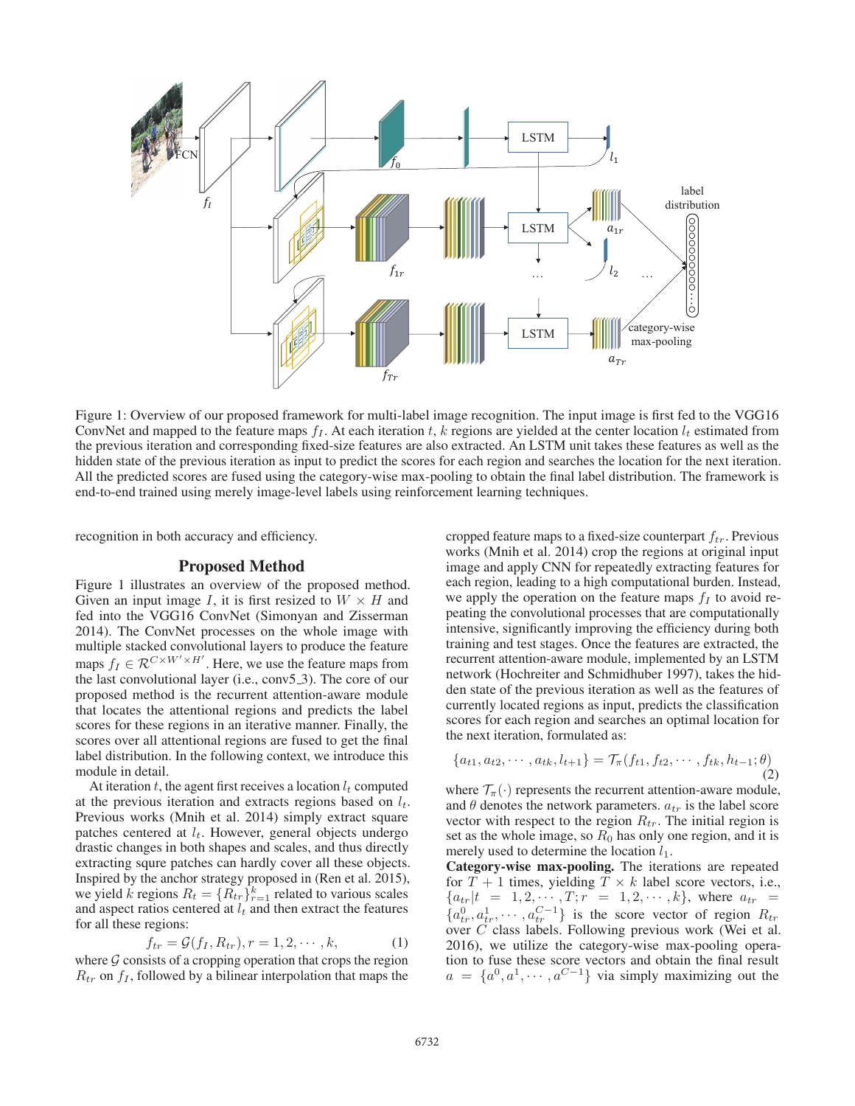

Figure 1: Overview of our proposed framework for multi-label image recognition. The input image is first fed to the VGG16 ConvNet and mapped to the feature maps  $f_I$ . At each iteration t, k regions are yielded at the center location  $l_t$  estimated from the previous iteration and corresponding fixed-size features are also extracted. An LSTM unit takes these features as well as the hidden state of the previous iteration as input to predict the scores for each region and searches the location for the next iteration. All the predicted scores are fused using the category-wise max-pooling to obtain the final label distribution. The framework is end-to-end trained using merely image-level labels using reinforcement learning techniques.

recognition in both accuracy and efficiency.

#### Proposed Method

Figure 1 illustrates an overview of the proposed method. Given an input image I, it is first resized to  $W \times H$  and fed into the VGG16 ConvNet (Simonyan and Zisserman 2014). The ConvNet processes on the whole image with multiple stacked convolutional layers to produce the feature maps  $f_I \in \mathcal{R}^{C \times W' \times H'}$ . Here, we use the feature maps from<br>the last convolutional layer (i.e., conv5.3). The core of our the last convolutional layer (i.e., conv5 3). The core of our proposed method is the recurrent attention-aware module that locates the attentional regions and predicts the label scores for these regions in an iterative manner. Finally, the scores over all attentional regions are fused to get the final label distribution. In the following context, we introduce this module in detail.

At iteration  $t$ , the agent first receives a location  $l_t$  computed at the previous iteration and extracts regions based on  $l_t$ . Previous works (Mnih et al. 2014) simply extract square patches centered at  $l_t$ . However, general objects undergo drastic changes in both shapes and scales, and thus directly extracting squre patches can hardly cover all these objects. Inspired by the anchor strategy proposed in (Ren et al. 2015), we yield k regions  $R_t = \{R_{tr}\}_{r=1}^k$  related to various scales<br>and aspect ratios centered at L and then extract the features and aspect ratios centered at  $l_t$  and then extract the features for all these regions:

$$
f_{tr} = \mathcal{G}(f_I, R_{tr}), r = 1, 2, \cdots, k,
$$
 (1)  
sists of a remaining operation that sense the region

where  $G$  consists of a cropping operation that crops the region  $R_{tr}$  on  $f_I$ , followed by a bilinear interpolation that maps the cropped feature maps to a fixed-size counterpart  $f_{tr}$ . Previous works (Mnih et al. 2014) crop the regions at original input image and apply CNN for repeatedly extracting features for each region, leading to a high computational burden. Instead, we apply the operation on the feature maps  $f_I$  to avoid repeating the convolutional processes that are computationally intensive, significantly improving the efficiency during both training and test stages. Once the features are extracted, the recurrent attention-aware module, implemented by an LSTM network (Hochreiter and Schmidhuber 1997), takes the hidden state of the previous iteration as well as the features of currently located regions as input, predicts the classification scores for each region and searches an optimal location for the next iteration, formulated as:

$$
\{a_{t1}, a_{t2}, \cdots, a_{tk}, l_{t+1}\} = \mathcal{T}_{\pi}(f_{t1}, f_{t2}, \cdots, f_{tk}, h_{t-1}; \theta)
$$
\n(2)

where  $\mathcal{T}_{\pi}(\cdot)$  represents the recurrent attention-aware module, and  $\theta$  denotes the network parameters.  $a_{tr}$  is the label score vector with respect to the region  $R_{tr}$ . The initial region is set as the whole image, so  $R_0$  has only one region, and it is merely used to determine the location  $l_1$ .

Category-wise max-pooling. The iterations are repeated for  $T + 1$  times, yielding  $T \times k$  label score vectors, i.e.,  ${a_{tr}}|t = 1, 2, \cdots, T; r = 1, 2, \cdots, k$ , where  $a_{tr}$  =  $\{a_{tr}^0, a_{tr}^1, \cdots, a_{tr}^{C-1}\}$  is the score vector of region  $R_{tr}$ <br>over C class labels. Following previous work (Wei et al. over  $\overrightarrow{C}$  class labels. Following previous work (Wei et al. 2016), we utilize the category-wise max-pooling operation to fuse these score vectors and obtain the final result  $a = \{a^0, a^1, \dots, a^{C-1}\}\$  via simply maximizing out the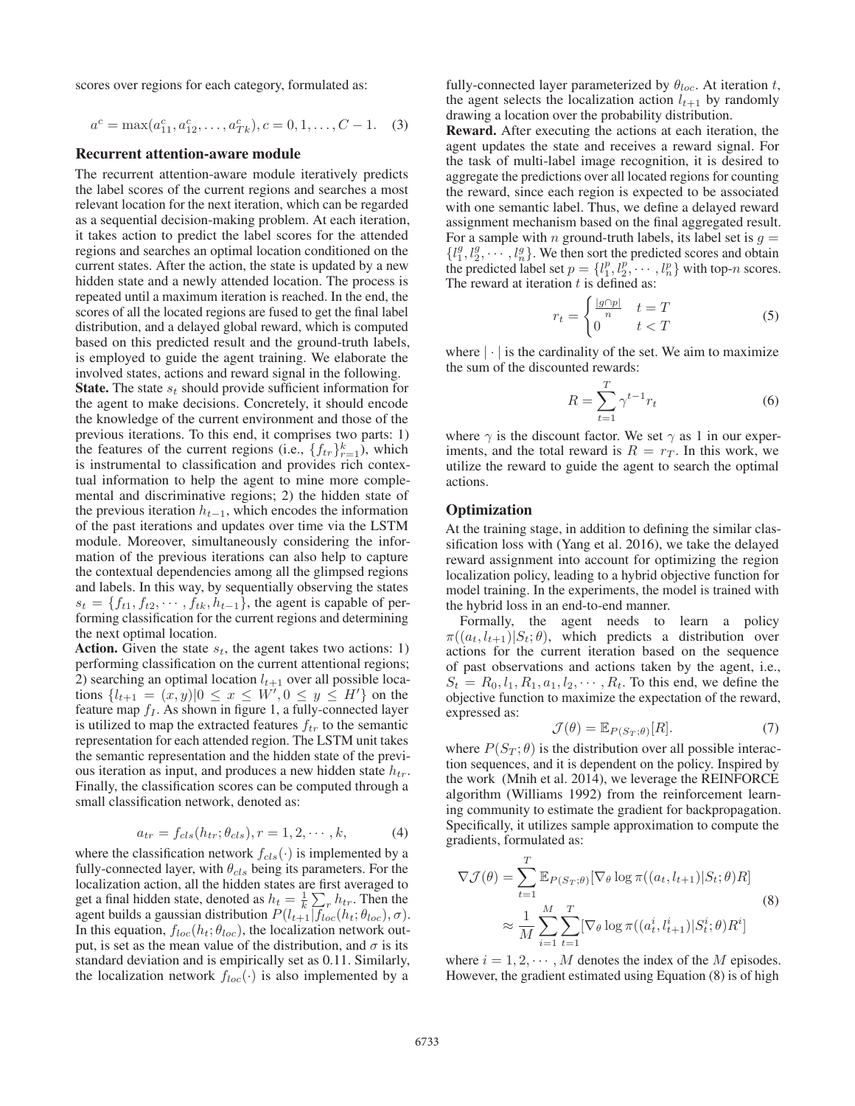scores over regions for each category, formulated as:

$$
a^{c} = \max(a_{11}^{c}, a_{12}^{c}, \dots, a_{Tk}^{c}), c = 0, 1, \dots, C - 1.
$$
 (3)

#### Recurrent attention-aware module

The recurrent attention-aware module iteratively predicts the label scores of the current regions and searches a most relevant location for the next iteration, which can be regarded as a sequential decision-making problem. At each iteration, it takes action to predict the label scores for the attended regions and searches an optimal location conditioned on the current states. After the action, the state is updated by a new hidden state and a newly attended location. The process is repeated until a maximum iteration is reached. In the end, the scores of all the located regions are fused to get the final label distribution, and a delayed global reward, which is computed based on this predicted result and the ground-truth labels, is employed to guide the agent training. We elaborate the involved states, actions and reward signal in the following.

**State.** The state  $s_t$  should provide sufficient information for the agent to make decisions. Concretely, it should encode the knowledge of the current environment and those of the previous iterations. To this end, it comprises two parts: 1) the features of the current regions (i.e.,  $\{f_{tr}\}_{r=1}^k$ ), which<br>is instrumental to classification and provides rich contexis instrumental to classification and provides rich contextual information to help the agent to mine more complemental and discriminative regions; 2) the hidden state of the previous iteration  $h_{t-1}$ , which encodes the information of the past iterations and updates over time via the LSTM module. Moreover, simultaneously considering the information of the previous iterations can also help to capture the contextual dependencies among all the glimpsed regions and labels. In this way, by sequentially observing the states  $s_t = \{f_{t1}, f_{t2}, \cdots, f_{tk}, h_{t-1}\}$ , the agent is capable of performing classification for the current regions and determining the next optimal location.

**Action.** Given the state  $s_t$ , the agent takes two actions: 1) performing classification on the current attentional regions; 2) searching an optimal location  $l_{t+1}$  over all possible locations  $\{l_{t+1} = (x, y)|0 \le x \le W', 0 \le y \le H'\}$  on the feature map  $f_t$ . As shown in figure 1, a fully-connected layer feature map  $f_I$ . As shown in figure 1, a fully-connected layer is utilized to map the extracted features  $f_{tr}$  to the semantic representation for each attended region. The LSTM unit takes the semantic representation and the hidden state of the previous iteration as input, and produces a new hidden state  $h_{tr}$ . Finally, the classification scores can be computed through a small classification network, denoted as:

$$
a_{tr} = f_{cls}(h_{tr}; \theta_{cls}), r = 1, 2, \cdots, k,
$$
 (4)

where the classification network  $f_{cls}(\cdot)$  is implemented by a fully-connected layer with  $\theta_{cls}$  being its parameters. For the fully-connected layer, with  $\theta_{cls}$  being its parameters. For the localization action, all the hidden states are first averaged to get a final hidden state, denoted as  $h_t = \frac{1}{k} \sum_r h_{tr}$ . Then the agent builds a gaussian distribution  $P(l_{t+1} | f_{t+2}(h_t; \theta_{t+1}) | \sigma)$ agent builds a gaussian distribution  $P(l_{t+1}|f_{loc}(h_t;\theta_{loc}), \sigma)$ .<br>In this equation  $f_{tot}(h_t;\theta_{loc})$  the localization network out-In this equation,  $f_{loc}(h_t; \theta_{loc})$ , the localization network output, is set as the mean value of the distribution, and  $\sigma$  is its standard deviation and is empirically set as 0.11. Similarly, the localization network  $f_{loc}(\cdot)$  is also implemented by a

fully-connected layer parameterized by  $\theta_{loc}$ . At iteration t, the agent selects the localization action  $l_{t+1}$  by randomly drawing a location over the probability distribution.

Reward. After executing the actions at each iteration, the agent updates the state and receives a reward signal. For the task of multi-label image recognition, it is desired to aggregate the predictions over all located regions for counting the reward, since each region is expected to be associated with one semantic label. Thus, we define a delayed reward assignment mechanism based on the final aggregated result. For a sample with n ground-truth labels, its label set is  $g =$  $\{l_1^2, l_2^2, \cdots, l_n^2\}$ . We then sort the predicted scores and obtain<br>the predicted label set  $p = \{l_1^p, l_2^p, \cdots, l_n^p\}$  with top-*n* scores.<br>The reward at iteration t is defined as:  $g_1^g, g_2^g, \dots, g_n^g$ . We then sort the predicted scores and obtain enredicted label set  $n = \{l_1^p, l_2^p, \dots, l_p^p\}$  with ton-*n* scores  $\frac{i}{1}, \frac{l_2^*}{2}$ efine The reward at iteration  $t$  is defined as:

$$
r_t = \begin{cases} \frac{|g \cap p|}{n} & t = T\\ 0 & t < T \end{cases} \tag{5}
$$

where  $|\cdot|$  is the cardinality of the set. We aim to maximize the sum of the discounted rewards:

$$
R = \sum_{t=1}^{T} \gamma^{t-1} r_t \tag{6}
$$

where  $\gamma$  is the discount factor. We set  $\gamma$  as 1 in our exper-<br>iments and the total reward is  $R = r_T$ . In this work, we iments, and the total reward is  $R = r<sub>T</sub>$ . In this work, we utilize the reward to guide the agent to search the optimal actions.

## **Optimization**

At the training stage, in addition to defining the similar classification loss with (Yang et al. 2016), we take the delayed reward assignment into account for optimizing the region localization policy, leading to a hybrid objective function for model training. In the experiments, the model is trained with the hybrid loss in an end-to-end manner.

Formally, the agent needs to learn a policy  $\pi((a_t, l_{t+1})|S_t; \theta)$ , which predicts a distribution over actions for the current iteration based on the sequence of past observations and actions taken by the agent, i.e.,  $S_t = R_0, l_1, R_1, a_1, l_2, \cdots, R_t$ . To this end, we define the objective function to maximize the expectation of the reward, expressed as:

$$
\mathcal{J}(\theta) = \mathbb{E}_{P(S_T;\theta)}[R].\tag{7}
$$

where  $P(S_T; \theta)$  is the distribution over all possible interaction sequences and it is dependent on the policy Inspired by tion sequences, and it is dependent on the policy. Inspired by the work (Mnih et al. 2014), we leverage the REINFORCE algorithm (Williams 1992) from the reinforcement learning community to estimate the gradient for backpropagation. Specifically, it utilizes sample approximation to compute the gradients, formulated as:

$$
\nabla \mathcal{J}(\theta) = \sum_{t=1}^{T} \mathbb{E}_{P(S_T;\theta)}[\nabla_{\theta} \log \pi((a_t, l_{t+1}) | S_t; \theta) R]
$$
  

$$
\approx \frac{1}{M} \sum_{i=1}^{M} \sum_{t=1}^{T} [\nabla_{\theta} \log \pi((a_t^i, l_{t+1}^i) | S_t^i; \theta) R^i]
$$
 (8)

where  $i = 1, 2, \dots, M$  denotes the index of the M episodes.<br>However the gradient estimated using Equation (8) is of high However, the gradient estimated using Equation (8) is of high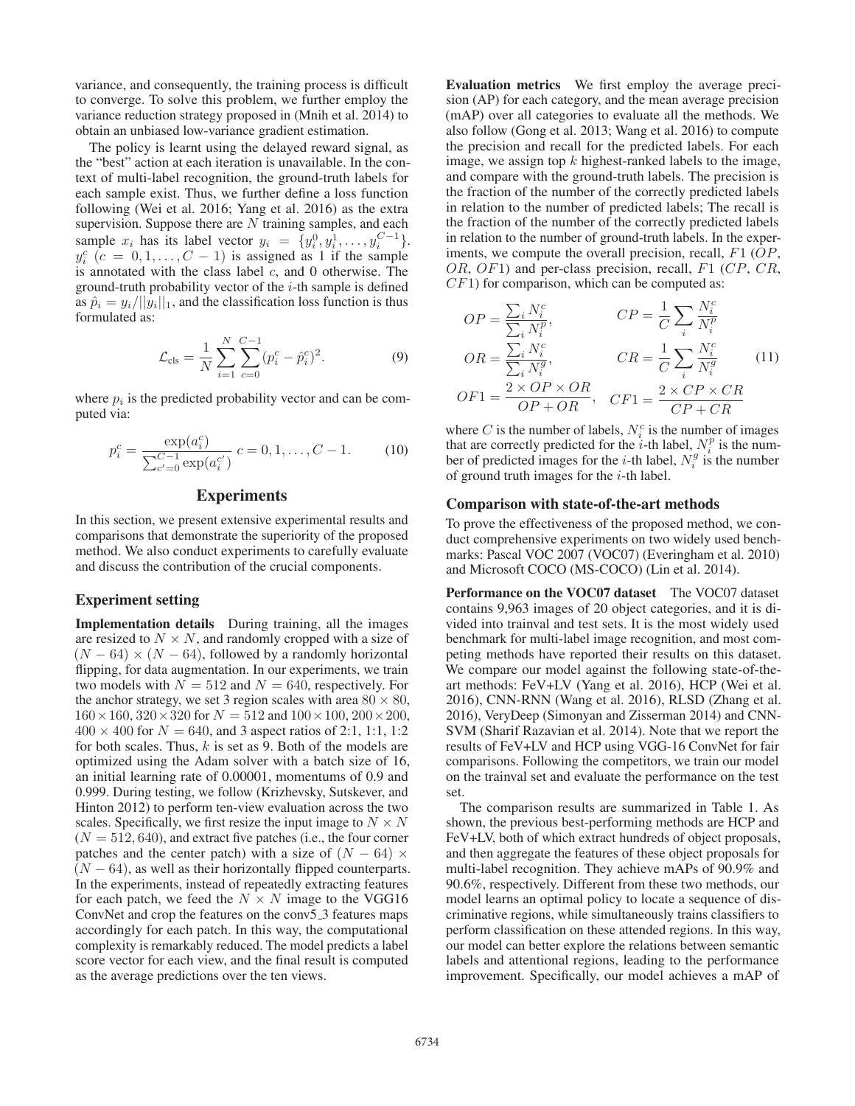variance, and consequently, the training process is difficult to converge. To solve this problem, we further employ the variance reduction strategy proposed in (Mnih et al. 2014) to obtain an unbiased low-variance gradient estimation.

The policy is learnt using the delayed reward signal, as the "best" action at each iteration is unavailable. In the context of multi-label recognition, the ground-truth labels for each sample exist. Thus, we further define a loss function following (Wei et al. 2016; Yang et al. 2016) as the extra supervision. Suppose there are  $N$  training samples, and each sample  $x_i$  has its label vector  $y_i = \{y_i^0, y_i^1, \ldots, y_i^{C-1}\}\$ .<br> $y_i^C$   $(c = 0, 1, \ldots, C-1)$  is assigned as 1 if the sample  $y_i$  ( $c = 0, 1, \ldots, C - 1$ ) is assigned as 1 if the sample<br>is annotated with the class label c, and 0 otherwise. The<br>ground-truth probability vector of the *i*-th sample is defined  $y_i^c$   $(c = 0, 1, \ldots, C - 1)$  is assigned as 1 if the sample ground-truth probability vector of the  $i$ -th sample is defined as  $\hat{p}_i = y_i/||y_i||_1$ , and the classification loss function is thus formulated as:

$$
\mathcal{L}_{\text{cls}} = \frac{1}{N} \sum_{i=1}^{N} \sum_{c=0}^{C-1} (p_i^c - \hat{p}_i^c)^2.
$$
 (9)

where  $p_i$  is the predicted probability vector and can be computed via:

$$
p_i^c = \frac{\exp(a_i^c)}{\sum_{c'=0}^{C-1} \exp(a_i^{c'})} c = 0, 1, ..., C-1.
$$
 (10)

## Experiments

In this section, we present extensive experimental results and comparisons that demonstrate the superiority of the proposed method. We also conduct experiments to carefully evaluate and discuss the contribution of the crucial components.

#### Experiment setting

Implementation details During training, all the images are resized to  $N \times N$ , and randomly cropped with a size of  $(N - 64) \times (N - 64)$ , followed by a randomly horizontal flipping, for data augmentation. In our experiments, we train two models with  $N = 512$  and  $N = 640$ , respectively. For the anchor strategy, we set 3 region scales with area  $80 \times 80$ ,  $160 \times 160$ ,  $320 \times 320$  for  $N = 512$  and  $100 \times 100$ ,  $200 \times 200$ ,  $400 \times 400$  for  $N = 640$ , and 3 aspect ratios of 2:1, 1:1, 1:2 for both scales. Thus,  $k$  is set as 9. Both of the models are optimized using the Adam solver with a batch size of 16, an initial learning rate of 0.00001, momentums of 0.9 and 0.999. During testing, we follow (Krizhevsky, Sutskever, and Hinton 2012) to perform ten-view evaluation across the two scales. Specifically, we first resize the input image to  $N \times N$  $(N = 512, 640)$ , and extract five patches (i.e., the four corner patches and the center patch) with a size of  $(N - 64) \times$  $(N - 64)$ , as well as their horizontally flipped counterparts. In the experiments, instead of repeatedly extracting features for each patch, we feed the  $N \times N$  image to the VGG16 ConvNet and crop the features on the conv5 3 features maps accordingly for each patch. In this way, the computational complexity is remarkably reduced. The model predicts a label score vector for each view, and the final result is computed as the average predictions over the ten views.

Evaluation metrics We first employ the average precision (AP) for each category, and the mean average precision (mAP) over all categories to evaluate all the methods. We also follow (Gong et al. 2013; Wang et al. 2016) to compute the precision and recall for the predicted labels. For each image, we assign top  $k$  highest-ranked labels to the image, and compare with the ground-truth labels. The precision is the fraction of the number of the correctly predicted labels in relation to the number of predicted labels; The recall is the fraction of the number of the correctly predicted labels in relation to the number of ground-truth labels. In the experiments, we compute the overall precision, recall,  $F1$  ( $OP$ , OR, OF1) and per-class precision, recall,  $F1$  (CP, CR,  $CF1$ ) for comparison, which can be computed as:

$$
OP = \frac{\sum_{i} N_i^c}{\sum_{i} N_i^p}, \qquad CP = \frac{1}{C} \sum_{i} \frac{N_i^c}{N_i^p}
$$
  
\n
$$
OR = \frac{\sum_{i} N_i^c}{\sum_{i} N_i^g}, \qquad CR = \frac{1}{C} \sum_{i} \frac{N_i^c}{N_i^g}
$$
  
\n
$$
OF1 = \frac{2 \times OP \times OR}{OP + OR}, \quad CF1 = \frac{2 \times CP \times CR}{CP + CR}
$$
  
\n(11)

where C is the number of labels,  $N_i^c$  is the number of images<br>that are correctly predicted for the *i*-th label  $N_i^p$  is the numthat are correctly predicted for the *i*-th label,  $N_i^p$  is the num-<br>her of predicted images for the *i*-th label  $N_i^g$  is the number ber of predicted images for the *i*-th label,  $N_i^g$  is the number<br>of ground truth images for the *i*-th label of ground truth images for the  $i$ -th label.

#### Comparison with state-of-the-art methods

To prove the effectiveness of the proposed method, we conduct comprehensive experiments on two widely used benchmarks: Pascal VOC 2007 (VOC07) (Everingham et al. 2010) and Microsoft COCO (MS-COCO) (Lin et al. 2014).

Performance on the VOC07 dataset The VOC07 dataset contains 9,963 images of 20 object categories, and it is divided into trainval and test sets. It is the most widely used benchmark for multi-label image recognition, and most competing methods have reported their results on this dataset. We compare our model against the following state-of-theart methods: FeV+LV (Yang et al. 2016), HCP (Wei et al. 2016), CNN-RNN (Wang et al. 2016), RLSD (Zhang et al. 2016), VeryDeep (Simonyan and Zisserman 2014) and CNN-SVM (Sharif Razavian et al. 2014). Note that we report the results of FeV+LV and HCP using VGG-16 ConvNet for fair comparisons. Following the competitors, we train our model on the trainval set and evaluate the performance on the test set.

The comparison results are summarized in Table 1. As shown, the previous best-performing methods are HCP and FeV+LV, both of which extract hundreds of object proposals, and then aggregate the features of these object proposals for multi-label recognition. They achieve mAPs of 90.9% and 90.6%, respectively. Different from these two methods, our model learns an optimal policy to locate a sequence of discriminative regions, while simultaneously trains classifiers to perform classification on these attended regions. In this way, our model can better explore the relations between semantic labels and attentional regions, leading to the performance improvement. Specifically, our model achieves a mAP of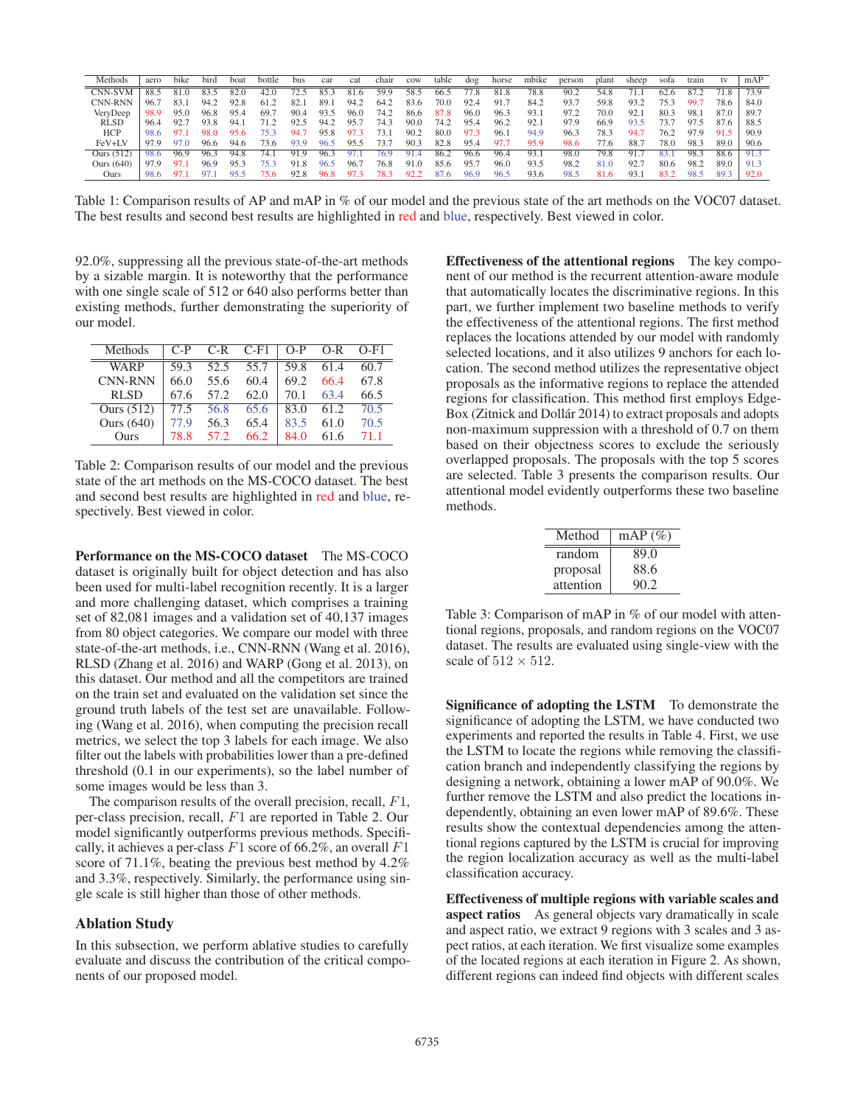| Methods      | aero | bike | bird | boat | bottle | bus  | car  | cat  | chair | cow  | table | dog   | horse | mbike | person | plant | sheep | sofa | train |      | mAP              |
|--------------|------|------|------|------|--------|------|------|------|-------|------|-------|-------|-------|-------|--------|-------|-------|------|-------|------|------------------|
| CNN-SVM      |      |      |      | 82.0 | 42.0   |      | 85.  | 81.6 | 59.9  | 58.5 | 66.5  | (1.8) | 81.8  | 78.8  | 90.2   | 54.8  | 71.1  |      |       | 71.8 | 73.9             |
| CNN-RNN      | 96.7 | 83.1 | 94.2 | 92.8 | 61.2   | 82.  | 89.  | 94.2 | 64.2  | 83.6 | 70.0  | 92.4  | 91.7  | 84.2  | 93.7   | 59.8  | 93.2  | 753  | 99.   | 78.6 | 84.0             |
| VeryDeep     | 98.9 | 95.0 | 96.8 | 95.4 | 69.7   | 90.4 | 93.5 | 96.0 | 74.2  | 86.6 | 87.8  | 96.0  | 96.3  | 93.1  | 97.2   | 70.0  | 92.1  | 80.3 | 98.   | 87.0 | 89. <sup>-</sup> |
| <b>RLSD</b>  | 96.4 | 92.7 | 93.8 | 94.  | 71 2   | 92.5 | 94.2 | 95.  | 74.3  | 90.0 | 74.2  | 95.4  | 96.2  | 92.   | 97.9   | 66.9  | 93.5  | Γ3.  | 97.5  | 87.6 | 88.5             |
| <b>HCP</b>   | 98.6 | 97.  | 98.0 | 95.6 |        | 94.  | 95.8 | 97.3 | 73.1  | 90.2 | 80.0  | 97.3  | 96.1  | 94.9  | 96.3   | 78.3  | 94.   | 76.2 | 97.9  | 91.5 | 90.9             |
| FeV+LV       | 97.9 | 97.0 | 96.6 | 94.6 | 73.6   | 93.9 | 96.5 | 95.5 | 73.7  | 90.3 | 82.8  | 95.4  | 97.   | 95.9  | 98.6   | 77.6  | 88.   | 78.0 | 98.3  | 89.0 | 90.6             |
| Ours (512)   | 98.6 | 96.9 | 96.3 | 94.8 | 74.    | 91.9 | 96.3 | 97.  | 76.9  | 91.4 | 86.2  | 96.6  | 96.4  | 93.   | 98.0   | 79.8  | 91.   | 83.  | 98.3  | 88.6 | 91.3             |
| Ours $(640)$ | 97.9 | 97.1 | 96.9 | 95.3 | 75 3   | 91.8 | 96.5 | 96.  | 76.8  | 91.0 | 85.6  | 95.7  | 96.0  | 93.5  | 98.2   | 81.0  | 92.7  | 80.6 | 98.2  | 89.0 | 91.3             |
| Ours         | 98.6 |      |      | 05   | 75.6   | 92.8 | 96.8 | 97.3 | 78.3  | 92.2 |       | 96.9  | 96.   | 93.6  | 98.5   | 81.6  | 93.   |      | -98   | 89.3 | 92.0             |

Table 1: Comparison results of AP and mAP in % of our model and the previous state of the art methods on the VOC07 dataset. The best results and second best results are highlighted in red and blue, respectively. Best viewed in color.

92.0%, suppressing all the previous state-of-the-art methods by a sizable margin. It is noteworthy that the performance with one single scale of 512 or 640 also performs better than existing methods, further demonstrating the superiority of our model.

| <b>Methods</b> | $C-P$ | $C-R$ | $C-F1$ | $O-P$ | O-R  | $O-F1$ |
|----------------|-------|-------|--------|-------|------|--------|
| WARP           | 59.3  | 52.5  | 55.7   | 59.8  | 61.4 | 60.7   |
| <b>CNN-RNN</b> | 66.0  | 55.6  | 60.4   | 69.2  | 66.4 | 67.8   |
| <b>RLSD</b>    | 67.6  | 57.2  | 62.0   | 70.1  | 63.4 | 66.5   |
| Ours (512)     | 77.5  | 56.8  | 65.6   | 83.0  | 61.2 | 70.5   |
| Ours $(640)$   | 77.9  | 56.3  | 65.4   | 83.5  | 61.0 | 70.5   |
| Ours           | 78.8  | 57.2  | 66.2   | 84.0  | 61.6 | 71.1   |

Table 2: Comparison results of our model and the previous state of the art methods on the MS-COCO dataset. The best and second best results are highlighted in red and blue, respectively. Best viewed in color.

Performance on the MS-COCO dataset The MS-COCO dataset is originally built for object detection and has also been used for multi-label recognition recently. It is a larger and more challenging dataset, which comprises a training set of 82,081 images and a validation set of 40,137 images from 80 object categories. We compare our model with three state-of-the-art methods, i.e., CNN-RNN (Wang et al. 2016), RLSD (Zhang et al. 2016) and WARP (Gong et al. 2013), on this dataset. Our method and all the competitors are trained on the train set and evaluated on the validation set since the ground truth labels of the test set are unavailable. Following (Wang et al. 2016), when computing the precision recall metrics, we select the top 3 labels for each image. We also filter out the labels with probabilities lower than a pre-defined threshold (0.1 in our experiments), so the label number of some images would be less than 3.

The comparison results of the overall precision, recall, F1, per-class precision, recall, F1 are reported in Table 2. Our model significantly outperforms previous methods. Specifically, it achieves a per-class  $F1$  score of 66.2%, an overall  $F1$ score of 71.1%, beating the previous best method by 4.2% and 3.3%, respectively. Similarly, the performance using single scale is still higher than those of other methods.

#### Ablation Study

In this subsection, we perform ablative studies to carefully evaluate and discuss the contribution of the critical components of our proposed model.

Effectiveness of the attentional regions The key component of our method is the recurrent attention-aware module that automatically locates the discriminative regions. In this part, we further implement two baseline methods to verify the effectiveness of the attentional regions. The first method replaces the locations attended by our model with randomly selected locations, and it also utilizes 9 anchors for each location. The second method utilizes the representative object proposals as the informative regions to replace the attended regions for classification. This method first employs Edge-Box (Zitnick and Dollár 2014) to extract proposals and adopts non-maximum suppression with a threshold of 0.7 on them based on their objectness scores to exclude the seriously overlapped proposals. The proposals with the top 5 scores are selected. Table 3 presents the comparison results. Our attentional model evidently outperforms these two baseline methods.

| Method    | $mAP(\%)$ |
|-----------|-----------|
| random    | 89.0      |
| proposal  | 88.6      |
| attention | 90.2      |

Table 3: Comparison of mAP in % of our model with attentional regions, proposals, and random regions on the VOC07 dataset. The results are evaluated using single-view with the scale of  $512 \times 512$ .

Significance of adopting the LSTM To demonstrate the significance of adopting the LSTM, we have conducted two experiments and reported the results in Table 4. First, we use the LSTM to locate the regions while removing the classification branch and independently classifying the regions by designing a network, obtaining a lower mAP of 90.0%. We further remove the LSTM and also predict the locations independently, obtaining an even lower mAP of 89.6%. These results show the contextual dependencies among the attentional regions captured by the LSTM is crucial for improving the region localization accuracy as well as the multi-label classification accuracy.

Effectiveness of multiple regions with variable scales and aspect ratios As general objects vary dramatically in scale and aspect ratio, we extract 9 regions with 3 scales and 3 aspect ratios, at each iteration. We first visualize some examples of the located regions at each iteration in Figure 2. As shown, different regions can indeed find objects with different scales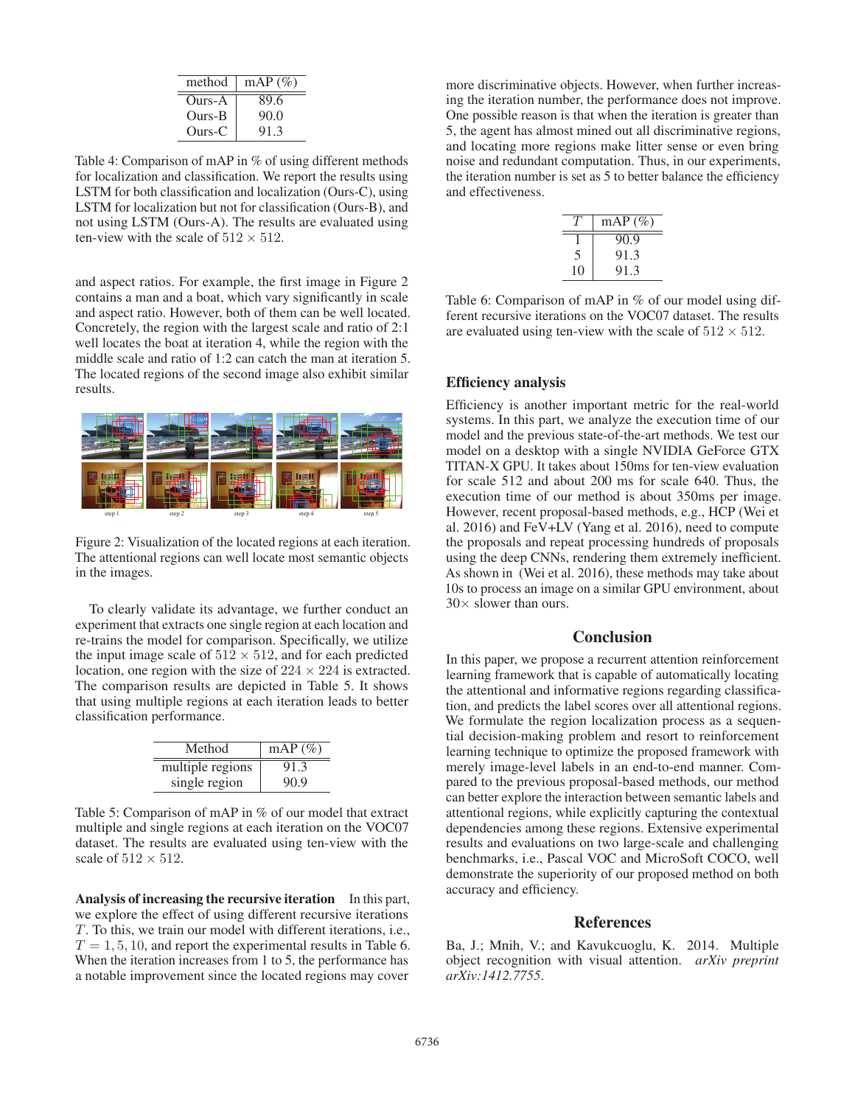| method | $mAP(\%)$ |
|--------|-----------|
| Ours-A | 89.6      |
| Ours-B | 90.0      |
| Ours-C | 913       |

Table 4: Comparison of mAP in % of using different methods for localization and classification. We report the results using LSTM for both classification and localization (Ours-C), using LSTM for localization but not for classification (Ours-B), and not using LSTM (Ours-A). The results are evaluated using ten-view with the scale of  $512 \times 512$ .

and aspect ratios. For example, the first image in Figure 2 contains a man and a boat, which vary significantly in scale and aspect ratio. However, both of them can be well located. Concretely, the region with the largest scale and ratio of 2:1 well locates the boat at iteration 4, while the region with the middle scale and ratio of 1:2 can catch the man at iteration 5. The located regions of the second image also exhibit similar results.



Figure 2: Visualization of the located regions at each iteration. The attentional regions can well locate most semantic objects in the images.

To clearly validate its advantage, we further conduct an experiment that extracts one single region at each location and re-trains the model for comparison. Specifically, we utilize the input image scale of  $512 \times 512$ , and for each predicted location, one region with the size of  $224 \times 224$  is extracted. The comparison results are depicted in Table 5. It shows that using multiple regions at each iteration leads to better classification performance.

| Method           | $mAP(\%)$ |
|------------------|-----------|
| multiple regions | 91.3      |
| single region    | 90.9      |

Table 5: Comparison of mAP in % of our model that extract multiple and single regions at each iteration on the VOC07 dataset. The results are evaluated using ten-view with the scale of  $512 \times 512$ .

Analysis of increasing the recursive iteration In this part, we explore the effect of using different recursive iterations T. To this, we train our model with different iterations, i.e.,  $T = 1, 5, 10$ , and report the experimental results in Table 6. When the iteration increases from 1 to 5, the performance has a notable improvement since the located regions may cover

more discriminative objects. However, when further increasing the iteration number, the performance does not improve. One possible reason is that when the iteration is greater than 5, the agent has almost mined out all discriminative regions, and locating more regions make litter sense or even bring noise and redundant computation. Thus, in our experiments, the iteration number is set as 5 to better balance the efficiency and effectiveness.

|    | $mAP(\%)$ |
|----|-----------|
|    | 90.9      |
|    | 91.3      |
| 10 | 91.3      |

Table 6: Comparison of mAP in % of our model using different recursive iterations on the VOC07 dataset. The results are evaluated using ten-view with the scale of  $512 \times 512$ .

## Efficiency analysis

Efficiency is another important metric for the real-world systems. In this part, we analyze the execution time of our model and the previous state-of-the-art methods. We test our model on a desktop with a single NVIDIA GeForce GTX TITAN-X GPU. It takes about 150ms for ten-view evaluation for scale 512 and about 200 ms for scale 640. Thus, the execution time of our method is about 350ms per image. However, recent proposal-based methods, e.g., HCP (Wei et al. 2016) and FeV+LV (Yang et al. 2016), need to compute the proposals and repeat processing hundreds of proposals using the deep CNNs, rendering them extremely inefficient. As shown in (Wei et al. 2016), these methods may take about 10s to process an image on a similar GPU environment, about  $30\times$  slower than ours.

#### **Conclusion**

In this paper, we propose a recurrent attention reinforcement learning framework that is capable of automatically locating the attentional and informative regions regarding classification, and predicts the label scores over all attentional regions. We formulate the region localization process as a sequential decision-making problem and resort to reinforcement learning technique to optimize the proposed framework with merely image-level labels in an end-to-end manner. Compared to the previous proposal-based methods, our method can better explore the interaction between semantic labels and attentional regions, while explicitly capturing the contextual dependencies among these regions. Extensive experimental results and evaluations on two large-scale and challenging benchmarks, i.e., Pascal VOC and MicroSoft COCO, well demonstrate the superiority of our proposed method on both accuracy and efficiency.

## References

Ba, J.; Mnih, V.; and Kavukcuoglu, K. 2014. Multiple object recognition with visual attention. *arXiv preprint arXiv:1412.7755*.